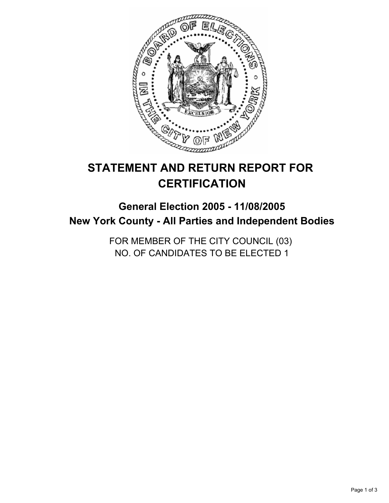

# **STATEMENT AND RETURN REPORT FOR CERTIFICATION**

# **General Election 2005 - 11/08/2005 New York County - All Parties and Independent Bodies**

FOR MEMBER OF THE CITY COUNCIL (03) NO. OF CANDIDATES TO BE ELECTED 1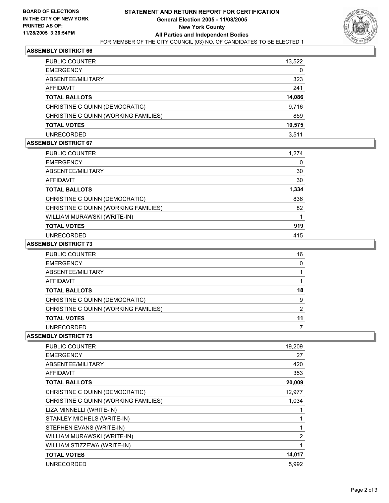

# **ASSEMBLY DISTRICT 66**

| <b>PUBLIC COUNTER</b>                | 13,522 |
|--------------------------------------|--------|
| <b>EMERGENCY</b>                     | 0      |
| ABSENTEE/MILITARY                    | 323    |
| AFFIDAVIT                            | 241    |
| <b>TOTAL BALLOTS</b>                 | 14,086 |
| CHRISTINE C QUINN (DEMOCRATIC)       | 9,716  |
| CHRISTINE C QUINN (WORKING FAMILIES) | 859    |
| <b>TOTAL VOTES</b>                   | 10,575 |
| UNRECORDED                           | 3.511  |

#### **ASSEMBLY DISTRICT 67**

| PUBLIC COUNTER                       | 1,274 |  |
|--------------------------------------|-------|--|
| <b>EMERGENCY</b>                     |       |  |
| ABSENTEE/MILITARY                    | 30    |  |
| <b>AFFIDAVIT</b>                     | 30    |  |
| <b>TOTAL BALLOTS</b>                 | 1,334 |  |
| CHRISTINE C QUINN (DEMOCRATIC)       | 836   |  |
| CHRISTINE C QUINN (WORKING FAMILIES) | 82    |  |
| WILLIAM MURAWSKI (WRITE-IN)          |       |  |
| <b>TOTAL VOTES</b>                   | 919   |  |
| <b>UNRECORDED</b>                    | 415   |  |

#### **ASSEMBLY DISTRICT 73**

| <b>PUBLIC COUNTER</b>                | 16 |
|--------------------------------------|----|
| <b>EMERGENCY</b>                     |    |
| ABSENTEE/MILITARY                    |    |
| AFFIDAVIT                            |    |
| <b>TOTAL BALLOTS</b>                 | 18 |
| CHRISTINE C QUINN (DEMOCRATIC)       | 9  |
| CHRISTINE C QUINN (WORKING FAMILIES) |    |
| <b>TOTAL VOTES</b>                   | 11 |
| UNRECORDED                           |    |

#### **ASSEMBLY DISTRICT 75**

| PUBLIC COUNTER                       | 19,209         |
|--------------------------------------|----------------|
| <b>EMERGENCY</b>                     | 27             |
| ABSENTEE/MILITARY                    | 420            |
| AFFIDAVIT                            | 353            |
| <b>TOTAL BALLOTS</b>                 | 20,009         |
| CHRISTINE C QUINN (DEMOCRATIC)       | 12,977         |
| CHRISTINE C QUINN (WORKING FAMILIES) | 1,034          |
| LIZA MINNELLI (WRITE-IN)             |                |
| STANLEY MICHELS (WRITE-IN)           |                |
| STEPHEN EVANS (WRITE-IN)             |                |
| WILLIAM MURAWSKI (WRITE-IN)          | $\overline{2}$ |
| WILLIAM STIZZEWA (WRITE-IN)          |                |
| <b>TOTAL VOTES</b>                   | 14,017         |
| UNRECORDED                           | 5.992          |